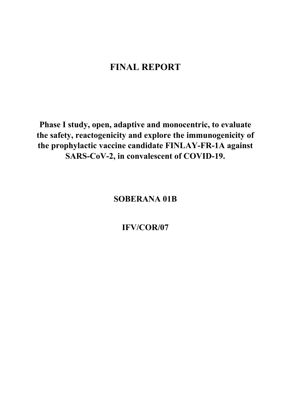# **FINAL REPORT**

**Phase I study, open, adaptive and monocentric, to evaluate the safety, reactogenicity and explore the immunogenicity of the prophylactic vaccine candidate FINLAY-FR-1A against SARS-CoV-2, in convalescent of COVID-19.** 

**SOBERANA 01B** 

**IFV/COR/07**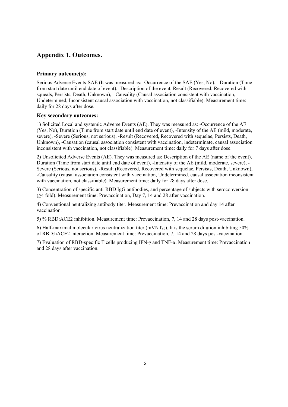### **Appendix 1. Outcomes.**

### **Primary outcome(s):**

Serious Adverse Events-SAE (It was measured as: -Occurrence of the SAE (Yes, No), - Duration (Time from start date until end date of event), -Description of the event, Result (Recovered, Recovered with squeals, Persists, Death, Unknown), - Causality (Causal association consistent with vaccination, Undetermined, Inconsistent causal association with vaccination, not classifiable). Measurement time: daily for 28 days after dose.

### **Key secondary outcomes:**

1) Solicited Local and systemic Adverse Events (AE). They was measured as: -Occurrence of the AE (Yes, No), Duration (Time from start date until end date of event), -Intensity of the AE (mild, moderate, severe), -Severe (Serious, not serious), -Result (Recovered, Recovered with sequelae, Persists, Death, Unknown), -Causation (causal association consistent with vaccination, indeterminate, causal association inconsistent with vaccination, not classifiable). Measurement time: daily for 7 days after dose.

2) Unsolicited Adverse Events (AE). They was measured as: Description of the AE (name of the event), Duration (Time from start date until end date of event), -Intensity of the AE (mild, moderate, severe), - Severe (Serious, not serious), -Result (Recovered, Recovered with sequelae, Persists, Death, Unknown), -Causality (causal association consistent with vaccination, Undetermined, causal association inconsistent with vaccination, not classifiable). Measurement time: daily for 28 days after dose.

3) Concentration of specific anti-RBD IgG antibodies, and percentage of subjects with seroconversion (≥4 fold). Measurement time: Prevaccination, Day 7, 14 and 28 after vaccination.

4) Conventional neutralizing antibody titer. Measurement time: Prevaccination and day 14 after vaccination.

5) % RBD:ACE2 inhibition. Measurement time: Prevaccination, 7, 14 and 28 days post-vaccination.

6) Half-maximal molecular virus neutralization titer (mVNT<sub>50</sub>). It is the serum dilution inhibiting 50% of RBD:hACE2 interaction. Measurement time: Prevaccination, 7, 14 and 28 days post-vaccination.

7) Evaluation of RBD-specific T cells producing IFN-γ and TNF-α. Measurement time: Prevaccination and 28 days after vaccination.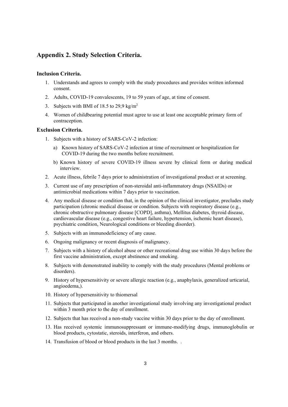### **Appendix 2. Study Selection Criteria.**

#### **Inclusion Criteria.**

- 1. Understands and agrees to comply with the study procedures and provides written informed consent.
- 2. Adults, COVID-19 convalescents, 19 to 59 years of age, at time of consent.
- 3. Subjects with BMI of 18.5 to 29.9 kg/m<sup>2</sup>
- 4. Women of childbearing potential must agree to use at least one acceptable primary form of contraception.

### **Exclusion Criteria.**

- 1. Subjects with a history of SARS-CoV-2 infection:
	- a) Known history of SARS-CoV-2 infection at time of recruitment or hospitalization for COVID-19 during the two months before recruitment.
	- b) Known history of severe COVID-19 illness severe by clinical form or during medical interview.
- 2. Acute illness, febrile 7 days prior to administration of investigational product or at screening.
- 3. Current use of any prescription of non-steroidal anti-inflammatory drugs (NSAIDs) or antimicrobial medications within 7 days prior to vaccination.
- 4. Any medical disease or condition that, in the opinion of the clinical investigator, precludes study participation (chronic medical disease or condition. Subjects with respiratory disease (e.g., chronic obstructive pulmonary disease [COPD], asthma), Mellitus diabetes, thyroid disease, cardiovascular disease (e.g., congestive heart failure, hypertension, ischemic heart disease), psychiatric condition, Neurological conditions or bleeding disorder).
- 5. Subjects with an immunodeficiency of any cause.
- 6. Ongoing malignancy or recent diagnosis of malignancy.
- 7. Subjects with a history of alcohol abuse or other recreational drug use within 30 days before the first vaccine administration, except abstinence and smoking.
- 8. Subjects with demonstrated inability to comply with the study procedures (Mental problems or disorders).
- 9. History of hypersensitivity or severe allergic reaction (e.g., anaphylaxis, generalized urticarial, angioedema,).
- 10. History of hypersensitivity to thiomersal
- 11. Subjects that participated in another investigational study involving any investigational product within 3 month prior to the day of enrollment.
- 12. Subjects that has received a non-study vaccine within 30 days prior to the day of enrollment.
- 13. Has received systemic immunosuppressant or immune-modifying drugs, immunoglobulin or blood products, cytostatic, steroids, interferon, and others.
- 14. Transfusion of blood or blood products in the last 3 months. .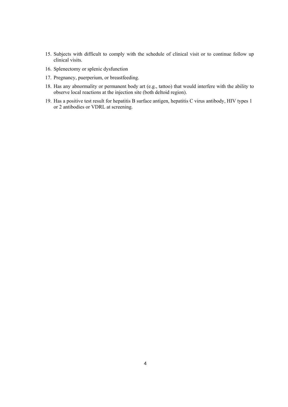- 15. Subjects with difficult to comply with the schedule of clinical visit or to continue follow up clinical visits.
- 16. Splenectomy or splenic dysfunction
- 17. Pregnancy, puerperium, or breastfeeding.
- 18. Has any abnormality or permanent body art (e.g., tattoo) that would interfere with the ability to observe local reactions at the injection site (both deltoid region).
- 19. Has a positive test result for hepatitis B surface antigen, hepatitis C virus antibody, HIV types 1 or 2 antibodies or VDRL at screening.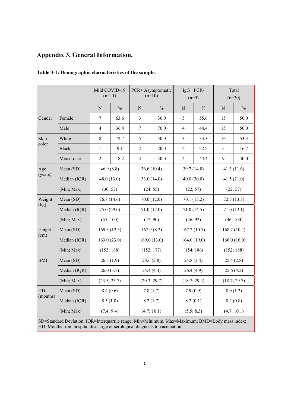## **Appendix 3. General Information.**

|            |                                                       | Mild COVID-19<br>$(n=11)$ |               |                | PCR+ Asymptomatic<br>$(n=10)$                                       | $IgG+PCR-$                                                                                   | $(n=9)$       |                                                                                                                                                                                                                                                  |               |
|------------|-------------------------------------------------------|---------------------------|---------------|----------------|---------------------------------------------------------------------|----------------------------------------------------------------------------------------------|---------------|--------------------------------------------------------------------------------------------------------------------------------------------------------------------------------------------------------------------------------------------------|---------------|
|            |                                                       | $\overline{N}$            | $\frac{0}{0}$ | $\overline{N}$ | $\frac{0}{0}$                                                       | $\mathbf N$                                                                                  | $\frac{0}{0}$ | ${\bf N}$                                                                                                                                                                                                                                        | $\frac{0}{0}$ |
| Gender     | Female                                                | $\tau$                    | 63.6          | 3              | 30.0                                                                | 5                                                                                            | 55.6          | 15                                                                                                                                                                                                                                               | 50.0          |
|            | Male                                                  | $\overline{4}$            | 36.4          | $\overline{7}$ | 70.0                                                                | $\overline{4}$                                                                               | 44.4          | 15                                                                                                                                                                                                                                               | 50.0          |
| Skin       | White                                                 | $\,8\,$                   | 72.7          | 5              | 50.0                                                                | $\overline{3}$                                                                               | 33.3          | 16                                                                                                                                                                                                                                               | 53.3          |
| color      | <b>Black</b>                                          | $\mathbf{1}$              | 9.1           | $\overline{2}$ | 20.0                                                                | $\overline{2}$                                                                               | 22.2          | Total<br>$(n=30)$<br>5<br>16.7<br>9<br>30.0<br>41.3 $(11.6)$<br>41.5(21.0)<br>(22; 57)<br>72.5(13.3)<br>71.0(12.1)<br>(46; 100)<br>168.2(10.4)<br>166.0 $(16.0)$<br>(152; 188)<br>25.4(2.8)<br>25.6(4.2)<br>(18.7; 29.7)<br>8.0(1.2)<br>8.2(0.8) |               |
|            | Mixed race                                            | $\overline{2}$            | 18.2          | $\overline{3}$ | 30.0                                                                | 44.4<br>$\overline{4}$<br>39.7 (14.0)<br>40.0(30.0)<br>(22; 57)<br>70.1 (13.2)<br>71.0(14.5) |               |                                                                                                                                                                                                                                                  |               |
| Age        | Mean (SD)                                             | 46.9(8.8)                 |               |                | 36.6(10.4)                                                          |                                                                                              |               |                                                                                                                                                                                                                                                  |               |
| (years)    | Median (IQR)                                          | 48.0 (13.0)               |               |                | 33.0(14.0)                                                          |                                                                                              |               |                                                                                                                                                                                                                                                  |               |
|            | (Min; Max)                                            | (30; 57)                  |               |                | (24; 55)                                                            |                                                                                              |               |                                                                                                                                                                                                                                                  |               |
| Weight     | Mean (SD)                                             | 76.8 (14.6)               |               |                | 70.0(12.0)                                                          |                                                                                              |               |                                                                                                                                                                                                                                                  |               |
| (kg)       | Median (IQR)                                          | 75.0 (29.0)               |               |                | 71.0 (17.0)                                                         |                                                                                              |               |                                                                                                                                                                                                                                                  |               |
|            | (Min; Max)                                            |                           | (55; 100)     |                | (47; 90)                                                            |                                                                                              | (46; 92)      |                                                                                                                                                                                                                                                  |               |
| Height     | Mean (SD)                                             | 169.3(12.5)               |               |                | 167.9(8.2)                                                          |                                                                                              | 167.2(10.7)   |                                                                                                                                                                                                                                                  |               |
| (cm)       | Median (IQR)                                          | 163.0(23.0)               |               |                | 169.0(13.0)                                                         |                                                                                              | 164.0(19.0)   |                                                                                                                                                                                                                                                  |               |
|            | (Min; Max)                                            | (153; 188)                |               |                | (152; 177)                                                          | (154; 186)                                                                                   |               |                                                                                                                                                                                                                                                  |               |
| <b>BMI</b> | Mean (SD)                                             | 26.5(1.9)                 |               |                | 24.6(2.8)                                                           |                                                                                              | 24.8(3.4)     |                                                                                                                                                                                                                                                  |               |
|            | Median (IQR)                                          | 26.0(3.7)                 |               |                | 24.4(4.4)                                                           | 26.4(4.9)                                                                                    |               |                                                                                                                                                                                                                                                  |               |
|            | (Min; Max)                                            | (23.5; 23.7)              |               |                | (20.3; 29.7)                                                        |                                                                                              | (18.7; 29.4)  |                                                                                                                                                                                                                                                  |               |
| HD         | Mean (SD)                                             | 8.4(0.6)                  |               |                | 7.8(1.7)                                                            |                                                                                              | 7.9(0.9)      |                                                                                                                                                                                                                                                  |               |
| (months)   | Median (IQR)                                          | 8.5(1.0)                  |               |                | 8.2(1.7)                                                            |                                                                                              | 8.2(0.1)      |                                                                                                                                                                                                                                                  |               |
|            | (Min; Max)                                            | (7.4; 9.4)                |               |                | (4.7; 10.1)                                                         | (5.5; 8.3)                                                                                   |               | (4.7; 10.1)                                                                                                                                                                                                                                      |               |
|            | $SD-C$ tendend $D$ ssistion, $IOD-I$ ntenguestile non |                           |               |                | $\ldots$ Min $\Lambda$ Cuimne March Marinesses DMD-Darks was in the |                                                                                              |               |                                                                                                                                                                                                                                                  |               |

### **Table 3-1: Demographic characteristics of the sample.**

SD=Standard Deviation; IQR=Interquartile range; Min=Minimum; Max=Maximum; BMD=Body mass index; HD=Months from hospital discharge or serological diagnosis to vaccination.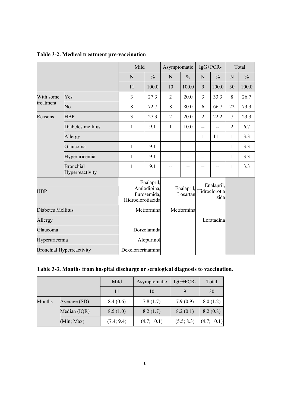|                                                                                                                                   |                                     | Mild         |                                                               |                | Asymptomatic           |                | IgG+PCR-                            |                | Total         |  |
|-----------------------------------------------------------------------------------------------------------------------------------|-------------------------------------|--------------|---------------------------------------------------------------|----------------|------------------------|----------------|-------------------------------------|----------------|---------------|--|
|                                                                                                                                   |                                     | $\mathbf N$  | $\frac{0}{0}$                                                 | $\mathbf N$    | $\frac{0}{0}$          | $\mathbf N$    | $\frac{0}{0}$                       | N              | $\frac{0}{0}$ |  |
|                                                                                                                                   |                                     | 11           | 100.0                                                         | 10             | 100.0                  | 9              | 100.0                               | 30             | 100.0         |  |
| With some                                                                                                                         | Yes                                 | 3            | 27.3                                                          | $\overline{2}$ | 20.0                   | $\overline{3}$ | 33.3                                | 8              | 26.7          |  |
| treatment<br>$\overline{N}o$<br>Reasons<br><b>HBP</b><br>Allergy<br>Glaucoma<br>Hyperuricemia<br><b>Bronchial Hyperreactivity</b> |                                     | $8\,$        | 72.7                                                          | 8              | 80.0                   | 6              | 66.7                                | 22             | 73.3          |  |
|                                                                                                                                   | <b>HBP</b>                          | 3            | 27.3                                                          | $\overline{2}$ | 20.0                   | $\overline{2}$ | 22.2                                | $\overline{7}$ | 23.3          |  |
|                                                                                                                                   | Diabetes mellitus                   | $\mathbf{1}$ | 9.1                                                           |                | 10.0                   | $- -$          |                                     | $\overline{2}$ | 6.7           |  |
|                                                                                                                                   | Allergy                             | $-$          | --                                                            | --             | $-$                    | $\mathbf{1}$   | 11.1                                | 1              | 3.3           |  |
|                                                                                                                                   | Glaucoma                            | 1            | 9.1                                                           | --             | --                     | --             | --                                  | 1              | 3.3           |  |
|                                                                                                                                   | Hyperuricemia                       | 1            | 9.1                                                           | --             | $-$                    | --             | --                                  | 1              | 3.3           |  |
|                                                                                                                                   | <b>Bronchial</b><br>Hyperreactivity | 1            | 9.1                                                           | --             | $-$                    | --             | --                                  | 1              | 3.3           |  |
|                                                                                                                                   |                                     |              | Enalapril,<br>Amlodipina,<br>Furosemida.<br>Hidroclorotiazida |                | Enalapril,<br>Losartan |                | Enalapril,<br>Hidroclorotia<br>zida |                |               |  |
| Diabetes Mellitus                                                                                                                 |                                     |              | Metformina                                                    |                | Metformina             |                |                                     |                |               |  |
|                                                                                                                                   |                                     |              |                                                               |                |                        |                | Loratadina                          |                |               |  |
|                                                                                                                                   |                                     |              | Dorzolamida                                                   |                |                        |                |                                     |                |               |  |
|                                                                                                                                   |                                     |              | Alopurinol                                                    |                |                        |                |                                     |                |               |  |
|                                                                                                                                   |                                     |              | Dexclorferinamina                                             |                |                        |                |                                     |                |               |  |

## **Table 3-2. Medical treatment pre-vaccination**

# **Table 3-3. Months from hospital discharge or serological diagnosis to vaccination.**

|        |              | Mild       | Asymptomatic | $IgG+PCR-$ | Total       |
|--------|--------------|------------|--------------|------------|-------------|
|        |              | 11         | 10           |            | 30          |
| Months | Average (SD) | 8.4(0.6)   | 7.8(1.7)     | 7.9(0.9)   | 8.0(1.2)    |
|        | Median (IQR) | 8.5(1.0)   | 8.2(1.7)     | 8.2(0.1)   | 8.2(0.8)    |
|        | (Min; Max)   | (7.4; 9.4) | (4.7; 10.1)  | (5.5; 8.3) | (4.7; 10.1) |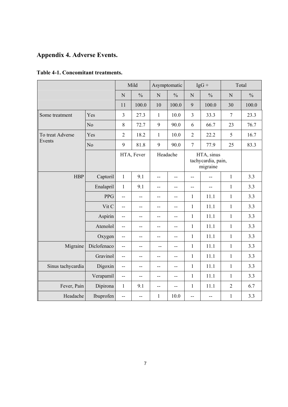# **Appendix 4. Adverse Events.**

| Table 4-1. Concomitant treatments. |  |
|------------------------------------|--|
|------------------------------------|--|

|                   |                |                | Mild          |              | Asymptomatic  |                                              | $IgG +$        |                | Total         |  |
|-------------------|----------------|----------------|---------------|--------------|---------------|----------------------------------------------|----------------|----------------|---------------|--|
|                   |                | $\mathbf N$    | $\frac{0}{0}$ | $\mathbf N$  | $\frac{0}{0}$ | $\overline{N}$                               | $\frac{0}{0}$  | $\mathbf N$    | $\frac{0}{0}$ |  |
|                   |                | 11             | 100.0         | 10           | 100.0         | 9                                            | 100.0          | 30             | 100.0         |  |
| Some treatment    | Yes            | $\overline{3}$ | 27.3          | $\mathbf{1}$ | 10.0          | $\overline{3}$                               | 33.3           | $\overline{7}$ | 23.3          |  |
|                   | N <sub>o</sub> | 8              | 72.7          | 9            | 90.0          | 6                                            | 66.7           | 23             | 76.7          |  |
| To treat Adverse  | Yes            | $\overline{2}$ | 18.2          | $\mathbf{1}$ | 10.0          | $\overline{2}$                               | 22.2           | 5              | 16.7          |  |
| Events            | No             | 9              | 81.8          | 9            | 90.0          | $\overline{7}$                               | 77.9           | 25             | 83.3          |  |
|                   |                | HTA, Fever     |               |              | Headache      | HTA, sinus<br>tachycardia, pain,<br>migraine |                |                |               |  |
| <b>HBP</b>        | Captoril       | $\mathbf{1}$   | 9.1           | $-$          | $-$           | $-$                                          | $-$            | $\mathbf{1}$   | 3.3           |  |
|                   | Enalapril      | $\mathbf{1}$   | 9.1           | $-$          | --            | $\overline{a}$                               | $\overline{a}$ | $\mathbf{1}$   | 3.3           |  |
|                   | <b>PPG</b>     | --             | $-$           | $-$          | $-$           | 1                                            | 11.1           | $\mathbf{1}$   | 3.3           |  |
|                   | Vit C          | --             | --            | --           | --            | $\mathbf{1}$                                 | 11.1           | $\mathbf{1}$   | 3.3           |  |
|                   | Aspirin        | --             | --            | --           | --            | $\mathbf{1}$                                 | 11.1           | $\mathbf{1}$   | 3.3           |  |
|                   | Atenolol       | --             | --            | $-$          | --            | $\mathbf{1}$                                 | 11.1           | $\mathbf{1}$   | 3.3           |  |
|                   | Oxygen         | --             | --            | --           | --            | $\mathbf{1}$                                 | 11.1           | $\mathbf{1}$   | 3.3           |  |
| Migraine          | Diclofenaco    | $-$            | $-$           | $-$          | $-$           | $\mathbf{1}$                                 | 11.1           | $\mathbf{1}$   | 3.3           |  |
|                   | Gravinol       | --             | --            | $-$          | $-$           | $\mathbf{1}$                                 | 11.1           | $\mathbf{1}$   | 3.3           |  |
| Sinus tachycardia | Digoxin        | --             | --            | --           | --            | $\mathbf{1}$                                 | 11.1           | $\mathbf{1}$   | 3.3           |  |
|                   | Verapamil      | $\overline{a}$ | $-$           | $-$          | $-$           | $\mathbf{1}$                                 | 11.1           | $\mathbf{1}$   | 3.3           |  |
| Fever, Pain       | Dipirona       | $\mathbf{1}$   | 9.1           | --           | --            | $\mathbf{1}$                                 | 11.1           | $\overline{2}$ | 6.7           |  |
| Headache          | Ibuprofen      | --             | --            | $\mathbf{1}$ | 10.0          | $-$                                          | --             | $\mathbf{1}$   | 3.3           |  |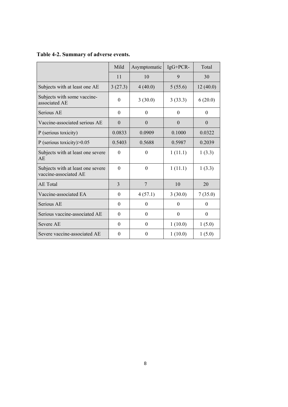|  |  | Table 4-2. Summary of adverse events. |  |
|--|--|---------------------------------------|--|
|--|--|---------------------------------------|--|

|                                                            | Mild             | Asymptomatic     | $IgG+PCR-$ | Total    |
|------------------------------------------------------------|------------------|------------------|------------|----------|
|                                                            | 11               | 10               | 9          | 30       |
| Subjects with at least one AE                              | 3(27.3)          | 4(40.0)          | 5(55.6)    | 12(40.0) |
| Subjects with some vaccine-<br>associated AE               | $\theta$         | 3(30.0)          | 3(33.3)    | 6(20.0)  |
| Serious AE                                                 | $\theta$         | $\theta$         | $\Omega$   | $\theta$ |
| Vaccine-associated serious AE                              | $\theta$         | $\theta$         | $\theta$   | $\theta$ |
| P (serious toxicity)                                       | 0.0833           | 0.0909           | 0.1000     | 0.0322   |
| P (serious toxicity) $>0.05$                               | 0.5403           | 0.5688           | 0.5987     | 0.2039   |
| Subjects with at least one severe<br>AE                    | $\theta$         | $\theta$         | 1(11.1)    | 1(3.3)   |
| Subjects with at least one severe<br>vaccine-associated AE | $\theta$         | $\theta$         | 1(11.1)    | 1(3.3)   |
| <b>AE</b> Total                                            | 3                | $\overline{7}$   | 10         | 20       |
| Vaccine-associated EA                                      | $\boldsymbol{0}$ | 4(57.1)          | 3(30.0)    | 7(35.0)  |
| Serious AE                                                 | $\theta$         | $\boldsymbol{0}$ | $\theta$   | $\theta$ |
| Serious vaccine-associated AE                              | $\theta$         | $\theta$         | $\theta$   | $\theta$ |
| Severe AE                                                  | $\theta$         | $\mathbf{0}$     | 1(10.0)    | 1(5.0)   |
| Severe vaccine-associated AE                               | $\theta$         | $\theta$         | 1(10.0)    | 1(5.0)   |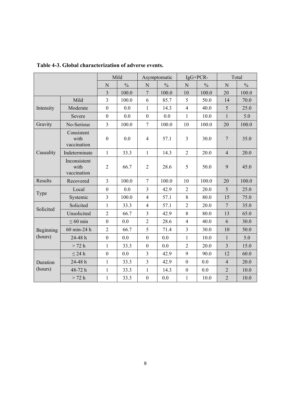|                      |                                     |                  | Mild          |                  | Asymptomatic  |                  | IgG+PCR-      | Total           |               |
|----------------------|-------------------------------------|------------------|---------------|------------------|---------------|------------------|---------------|-----------------|---------------|
|                      |                                     | $\mathbf N$      | $\frac{0}{0}$ | $\mathbf N$      | $\frac{0}{0}$ | N                | $\frac{0}{0}$ | N               | $\frac{0}{0}$ |
|                      |                                     | 3                | 100.0         | $\tau$           | 100.0         | 10               | 100.0         | 20              | 100.0         |
|                      | Mild                                | 3                | 100.0         | 6                | 85.7          | 5                | 50.0          | 14              | 70.0          |
| Intensity            | Moderate                            | $\boldsymbol{0}$ | 0.0           | $\mathbf{1}$     | 14.3          | $\overline{4}$   | 40.0          | 5               | 25.0          |
|                      | Severe                              | $\boldsymbol{0}$ | 0.0           | $\boldsymbol{0}$ | 0.0           | $\mathbf{1}$     | 10.0          | $\mathbf{1}$    | 5.0           |
| Gravity              | No-Serious                          | $\overline{3}$   | 100.0         | $\overline{7}$   | 100.0         | 10               | 100.0         | 20              | 100.0         |
|                      | Consistent<br>with<br>vaccination   | $\boldsymbol{0}$ | 0.0           | $\overline{4}$   | 57.1          | $\overline{3}$   | 30.0          | $\tau$          | 35.0          |
| Causality            | Indeterminate                       | $\mathbf{1}$     | 33.3          | $\mathbf{1}$     | 14.3          | $\overline{2}$   | 20.0          | $\overline{4}$  | 20.0          |
|                      | Inconsistent<br>with<br>vaccination | $\overline{2}$   | 66.7          | $\mathfrak{2}$   | 28.6          | 5                | 50.0          | 9               | 45.0          |
| Results              | Recovered                           | $\overline{3}$   | 100.0         | $\overline{7}$   | 100.0         | 10               | 100.0         | 20              | 100.0         |
| Type                 | Local                               | $\boldsymbol{0}$ | 0.0           | $\overline{3}$   | 42.9          | $\overline{2}$   | 20.0          | 5               | 25.0          |
|                      | Systemic                            | $\overline{3}$   | 100.0         | $\overline{4}$   | 57.1          | 8                | 80.0          | 15              | 75.0          |
| Solicited            | Solicited                           | $\mathbf{1}$     | 33.3          | $\overline{4}$   | 57.1          | $\overline{2}$   | 20.0          | $7\phantom{.0}$ | 35.0          |
|                      | Unsolicited                         | $\overline{2}$   | 66.7          | 3                | 42.9          | 8                | 80.0          | 13              | 65.0          |
|                      | $\leq 60$ min                       | $\boldsymbol{0}$ | 0.0           | $\overline{2}$   | 28.6          | $\overline{4}$   | 40.0          | 6               | 30.0          |
| Beginning<br>(hours) | 60 min-24 h                         | $\sqrt{2}$       | 66.7          | 5                | 71.4          | $\overline{3}$   | 30.0          | 10              | 50.0          |
|                      | 24-48h                              | $\boldsymbol{0}$ | 0.0           | $\boldsymbol{0}$ | 0.0           | $\mathbf{1}$     | 10.0          | $\mathbf{1}$    | 5.0           |
|                      | > 72 h                              | $\mathbf{1}$     | 33.3          | $\boldsymbol{0}$ | 0.0           | $\overline{2}$   | 20.0          | $\overline{3}$  | 15.0          |
|                      | $\leq$ 24 h                         | $\boldsymbol{0}$ | 0.0           | $\overline{3}$   | 42.9          | 9                | 90.0          | 12              | 60.0          |
| Duration             | 24-48h                              | $\mathbf{1}$     | 33.3          | 3                | 42.9          | $\mathbf{0}$     | 0.0           | $\overline{4}$  | 20.0          |
| (hours)              | 48-72h                              | $\mathbf{1}$     | 33.3          | $\mathbf{1}$     | 14.3          | $\boldsymbol{0}$ | 0.0           | $\overline{2}$  | 10.0          |
|                      | > 72 h                              | $\mathbf{1}$     | 33.3          | $\boldsymbol{0}$ | 0.0           | $\mathbf{1}$     | 10.0          | $\overline{2}$  | 10.0          |

**Table 4-3. Global characterization of adverse events.**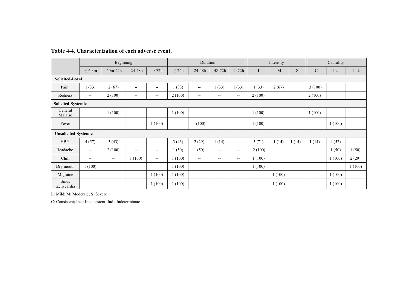|                             |                          | Beginning                |                                       |                          | Duration   |                          |                          |                          |        | Intensity |       | Causality     |        |        |
|-----------------------------|--------------------------|--------------------------|---------------------------------------|--------------------------|------------|--------------------------|--------------------------|--------------------------|--------|-----------|-------|---------------|--------|--------|
|                             | $\leq 60$ m              | $60m-24h$                | 24-48h                                | > 72h                    | $\leq 24h$ | 24-48h                   | 48-72h                   | >72h                     | L      | M         | S     | $\mathcal{C}$ | Inc.   | Ind.   |
| <b>Solicited-Local</b>      |                          |                          |                                       |                          |            |                          |                          |                          |        |           |       |               |        |        |
| Pain                        | 1(33)                    | 2(67)                    | $- -$                                 | $\overline{a}$           | 1(33)      | $\overline{\phantom{a}}$ | 1(33)                    | 1(33)                    | (33)   | 2(67)     |       | 3(100)        |        |        |
| Redness                     | $\overline{\phantom{a}}$ | 2(100)                   | $\overline{\phantom{a}}$              | $\overline{\phantom{a}}$ | 2(100)     | $\overline{\phantom{a}}$ | $\overline{\phantom{a}}$ | $--$                     | 2(100) |           |       | 2(100)        |        |        |
| Solicited-Systemic          |                          |                          |                                       |                          |            |                          |                          |                          |        |           |       |               |        |        |
| General<br>Malaise          | $\overline{\phantom{a}}$ | 1(100)                   | $\overline{\phantom{a}}$              | $\overline{\phantom{a}}$ | 1(100)     | $\overline{a}$           | $\overline{\phantom{a}}$ | $- -$                    | 1(100) |           |       | 1(100)        |        |        |
| Fever                       | $\overline{\phantom{a}}$ | $\overline{\phantom{a}}$ | $\overline{\phantom{a}}$              | 1(100)                   |            | 1(100)                   | $- -$                    | $- -$                    | 1(100) |           |       |               | 1(100) |        |
| <b>Unsolicited-Systemic</b> |                          |                          |                                       |                          |            |                          |                          |                          |        |           |       |               |        |        |
| <b>HBP</b>                  | 4(57)                    | 3(43)                    | $--$                                  | $- -$                    | 3(43)      | 2(29)                    | 1(14)                    |                          | 5(71)  | 1(14)     | 1(14) | 1(14)         | 4(57)  |        |
| Headache                    | $ -$                     | 2(100)                   | $\overline{\phantom{a}}$              | $\overline{\phantom{a}}$ | 1(50)      | 1(50)                    | $- -$                    | $\overline{\phantom{a}}$ | 2(100) |           |       |               | 1(50)  | 1(50)  |
| Chill                       | $\overline{\phantom{a}}$ | $\overline{\phantom{m}}$ | 1(100)                                | $\overline{\phantom{a}}$ | 1(100)     | $\overline{\phantom{a}}$ | $- -$                    | $\overline{\phantom{a}}$ | 1(100) |           |       |               | 1(100) | 2(29)  |
| Dry mouth                   | 1(100)                   | $\overline{\phantom{a}}$ | $\overline{\phantom{a}}$              | --                       | 1(100)     | $\overline{\phantom{a}}$ | $--$                     | $- -$                    | 1(100) |           |       |               |        | 1(100) |
| Migraine                    | $\overline{\phantom{a}}$ | $\overline{\phantom{a}}$ | $\overline{\phantom{a}}$              | 1(100)                   | 1(100)     | $\overline{\phantom{a}}$ | $- -$                    | $- -$                    |        | 1(100)    |       |               | 1(100) |        |
| <b>Sinus</b><br>tachycardia | $- -$                    | $\overline{\phantom{m}}$ | $\hspace{0.05cm}$ – $\hspace{0.05cm}$ | 1(100)                   | 1(100)     | $-$                      | --                       | $\qquad \qquad -$        |        | 1(100)    |       |               | 1(100) |        |

#### **Table 4-4. Characterization of each adverse event.**

L: Mild; M: Moderate; S: Severe

C: Consistent; Inc.: Inconsistent; Ind.: Indeterminate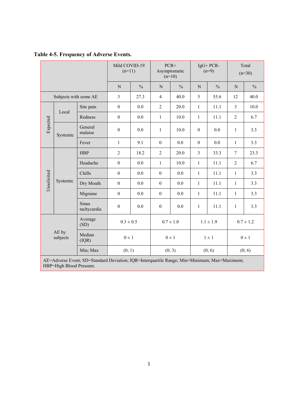|  | Table 4-5. Frequency of Adverse Events. |  |  |  |
|--|-----------------------------------------|--|--|--|
|--|-----------------------------------------|--|--|--|

|                 |                       |                         | Mild COVID-19<br>$(n=11)$ |               | $PCR+$<br>Asymptomatic<br>$(n=10)$ |               |                  | IgG+PCR-<br>$(n=9)$ | Total<br>$(n=30)$ |               |  |
|-----------------|-----------------------|-------------------------|---------------------------|---------------|------------------------------------|---------------|------------------|---------------------|-------------------|---------------|--|
|                 |                       |                         | $\mathbf N$               | $\frac{0}{0}$ | N                                  | $\frac{0}{0}$ | N                | $\frac{0}{0}$       | $\mathbf N$       | $\frac{0}{0}$ |  |
|                 | Subjects with some AE |                         | $\overline{3}$            | 27.3          | $\overline{4}$                     | 40.0          | 5                | 55.6                | 12                | 40.0          |  |
|                 | Site pain<br>Local    |                         | $\boldsymbol{0}$          | 0.0           | $\overline{2}$                     | 20.0          | $\mathbf{1}$     | 11.1                | $\overline{3}$    | 10.0          |  |
|                 |                       | Redness                 | $\boldsymbol{0}$          | 0.0           | $\mathbf{1}$                       | 10.0          | $\mathbf{1}$     | 11.1                | $\overline{2}$    | 6.7           |  |
| Expected        | Systemic              | General<br>malaise      | $\boldsymbol{0}$          | 0.0           | $\mathbf{1}$                       | 10.0          | $\boldsymbol{0}$ | 0.0                 | $\mathbf{1}$      | 3.3           |  |
|                 |                       | Fever                   | 9.1<br>$\mathbf{1}$       |               | $\boldsymbol{0}$                   | 0.0           | $\boldsymbol{0}$ | 0.0                 | $\mathbf{1}$      | 3.3           |  |
|                 |                       | <b>HBP</b>              | $\overline{2}$<br>18.2    |               | $\overline{2}$                     | 20.0          | $\overline{3}$   | 33.3                | $\overline{7}$    | 23.3          |  |
|                 | Headache              | 0.0<br>$\boldsymbol{0}$ |                           | $\mathbf{1}$  | 10.0                               | $\mathbf{1}$  | 11.1             | $\overline{2}$      | 6.7               |               |  |
|                 |                       | Chills                  | 0.0<br>$\boldsymbol{0}$   |               | $\boldsymbol{0}$                   | 0.0           | $\mathbf{1}$     | 11.1                | $\mathbf{1}$      | 3.3           |  |
| Unsolicited     | Systemic              | Dry Mouth               | $\boldsymbol{0}$          | 0.0           |                                    | 0.0           | $\mathbf{1}$     | 11.1                | $\mathbf{1}$      | 3.3           |  |
|                 |                       | Migraine                | $\boldsymbol{0}$          | 0.0           | $\boldsymbol{0}$                   | 0.0           | $\mathbf{1}$     | 11.1                | $\mathbf{1}$      | 3.3           |  |
| Sinus           |                       | tachycardia             | $\boldsymbol{0}$          | 0.0           | $\boldsymbol{0}$                   | 0.0           | $\mathbf{1}$     | 11.1                | $\mathbf{1}$      | 3.3           |  |
| Average<br>(SD) |                       | $0.3 \pm 0.5$           |                           | $0.7 \pm 1.0$ |                                    | $1.1 \pm 1.9$ |                  | $0.7 \pm 1.2$       |                   |               |  |
|                 | AE by<br>subjects     | Median<br>(IQR)         | $0 \pm 1$                 |               |                                    | $0 \pm 1$     | $1 \pm 1$        |                     | $0 \pm 1$         |               |  |
|                 |                       | Min; Max                | (0; 1)                    |               |                                    | (0; 3)        |                  | (0; 6)              |                   | (0; 6)        |  |

AE=Adverse Event; SD=Standard Deviation; IQR=Interquartile Range; Min=Minimum; Max=Maximum; HBP=High Blood Pressure.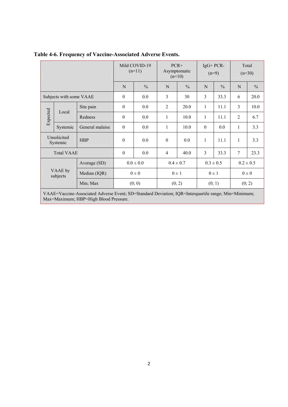|                                       |                         |                                                                                                      | Mild COVID-19<br>$(n=11)$ |                        |               | $PCR+$<br>Asymptomatic<br>$(n=10)$ | $IgG+PCR-$<br>$(n=9)$ |                 | Total<br>$(n=30)$ |               |  |
|---------------------------------------|-------------------------|------------------------------------------------------------------------------------------------------|---------------------------|------------------------|---------------|------------------------------------|-----------------------|-----------------|-------------------|---------------|--|
|                                       |                         |                                                                                                      | N                         | $\frac{0}{0}$          | N             | $\frac{0}{0}$                      | N                     | $\frac{0}{0}$   | N                 | $\frac{0}{0}$ |  |
|                                       | Subjects with some VAAE |                                                                                                      | $\mathbf{0}$              | 0.0                    | 3             | 30                                 | 3                     | 33.3            | 6                 | 20.0          |  |
| Site pain                             |                         | $\boldsymbol{0}$                                                                                     | 0.0                       | $\overline{2}$         | 20.0          | 1                                  | 11.1                  | 3               | 10.0              |               |  |
| Expected<br>Local<br>Systemic         |                         | Redness                                                                                              | $\mathbf{0}$              | 0.0                    | 1             | 10.0                               | 1                     | 11.1            | 2                 | 6.7           |  |
|                                       |                         | General malaise                                                                                      | $\boldsymbol{0}$<br>0.0   |                        | 1             | 10.0                               | $\boldsymbol{0}$      | 0.0             | 1                 | 3.3           |  |
| Unsolicited<br><b>HBP</b><br>Systemic |                         | $\mathbf{0}$                                                                                         | 0.0                       | $\theta$               | 0.0           | 1                                  | 11.1                  | 1               | 3.3               |               |  |
| <b>Total VAAE</b>                     |                         | $\boldsymbol{0}$<br>0.0                                                                              |                           | 40.0<br>$\overline{4}$ |               | 3<br>33.3                          |                       | $7\phantom{.0}$ | 23.3              |               |  |
| Average (SD)                          |                         |                                                                                                      | $0.0 \pm 0.0$             |                        | $0.4 \pm 0.7$ |                                    | $0.3 \pm 0.5$         |                 |                   | $0.2 \pm 0.5$ |  |
| VAAE by<br>subjects                   |                         | Median (IQR)                                                                                         |                           | $0\pm 0$               |               | $0 \pm 1$                          | $0 \pm 1$             |                 |                   | $0\pm 0$      |  |
|                                       |                         | Min; Max                                                                                             |                           | (0; 0)                 |               | (0; 2)                             | (0; 1)                |                 | (0; 2)            |               |  |
|                                       |                         | VA A E-Veceiro Agreciated Adverse Event: CD-Stendard Deviction: JOD-Intergraphile renge: Min-Minimum |                           |                        |               |                                    |                       |                 |                   |               |  |

## **Table 4-6. Frequency of Vaccine-Associated Adverse Events.**

VAAE=Vaccine-Associated Adverse Event; SD=Standard Deviation; IQR=Interquartile range; Min=Minimum; Max=Maximum; HBP=High Blood Pressure.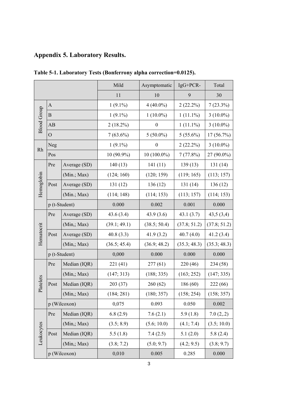# **Appendix 5. Laboratory Results.**

|                    |                |               | Mild         | Asymptomatic               | IgG+PCR-     | Total        |
|--------------------|----------------|---------------|--------------|----------------------------|--------------|--------------|
|                    |                |               | 11           | 10                         | 9            | 30           |
|                    | $\mathbf{A}$   |               | $1(9.1\%)$   | $4(40.0\%)$                | 2(22.2%)     | $7(23.3\%)$  |
|                    | $\, {\bf B}$   |               | $1(9.1\%)$   | $1(10.0\%)$<br>$1(11.1\%)$ |              | $3(10.0\%)$  |
| <b>Blood Group</b> | AB             |               | $2(18.2\%)$  | $\boldsymbol{0}$           | $1(11.1\%)$  | $3(10.0\%)$  |
|                    | $\overline{O}$ |               | $7(63.6\%)$  | $5(50.0\%)$                | $5(55.6\%)$  | 17 (56.7%)   |
|                    | Neg            |               | $1(9.1\%)$   | $\boldsymbol{0}$           | $2(22.2\%)$  | $3(10.0\%)$  |
| Rh                 | Pos            |               | 10 (90.9%)   | $10(100.0\%)$              | 7(77.8%)     | 27 (90.0%)   |
|                    | Pre            | Average (SD)  | 140(13)      | 141(11)                    | 139(13)      | 131 (14)     |
|                    |                | (Min.; Max)   | (124; 160)   | (120; 159)                 | (119; 165)   | (113; 157)   |
| Hemoglobin         | Post           | Average (SD)  | 131(12)      | 136(12)                    | 131(14)      | 136(12)      |
|                    |                | (Min.; Max)   | (114; 148)   | (114; 153)                 | (113; 157)   | (114; 153)   |
|                    | p (t-Student)  |               | 0.000        | 0.002                      | 0.001        | 0.000        |
|                    | Pre            | Average (SD)  | 43.6(3.4)    | 43.9(3.6)                  | 43.1(3.7)    | 43,5(3,4)    |
|                    |                | (Min, Max)    | (39.1; 49.1) | (38.5; 50.4)               | (37.8; 51.2) | (37.8; 51.2) |
| Hematocrit         | Post           | Average (SD)  | 40.8(3.3)    | 41.9(3.2)                  | 40.7(4.0)    | 41.2(3.4)    |
|                    |                | (Min, Max)    | (36.5; 45.4) | (36.9; 48.2)               | (35.3; 48.3) | (35.3; 48.3) |
|                    |                | p (t-Student) | 0,000        | 0.000                      | 0.000        | 0.000        |
|                    | Pre            | Median (IQR)  | 221(41)      | 277(61)                    | 220 (46)     | 234 (58)     |
|                    |                | (Min,; Max)   | (147; 313)   | (188; 335)                 | (163; 252)   | (147; 335)   |
| Platelets          | Post           | Median (IQR)  | 203(37)      | 260(62)                    | 186(60)      | 222 (66)     |
|                    |                | (Min, Max)    | (184; 281)   | (180; 357)                 | (158; 254)   | (158; 357)   |
|                    |                | p (Wilcoxon)  | 0,075        | 0.093                      | 0.050        | 0.002        |
|                    | Pre            | Median (IQR)  | 6.8(2.9)     | 7.6(2.1)                   | 5.9(1.8)     | 7.0(2,2)     |
|                    |                | (Min,; Max)   | (3.5; 8.9)   | (5.6; 10.0)                | (4.1; 7.4)   | (3.5; 10.0)  |
| Leukocytes         | Post           | Median (IQR)  | 5.5(1.8)     | 7.4(2.5)                   | 5.1(2.0)     | 5.8(2.4)     |
|                    |                | (Min, Max)    | (3.8; 7.2)   | (5.0; 9.7)                 | (4.2; 9.5)   | (3.8; 9.7)   |
|                    |                | p (Wilcoxon)  | 0,010        | 0.005                      | 0.285        | 0.000        |

**Table 5-1. Laboratory Tests (Bonferrony alpha correction=0.0125).**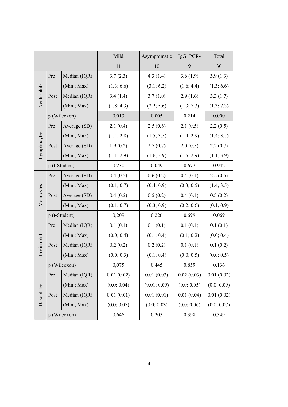|                   |      |               | Mild        | Asymptomatic | IgG+PCR-    | Total       |
|-------------------|------|---------------|-------------|--------------|-------------|-------------|
|                   |      |               | 11          | 10           | 9           | 30          |
|                   | Pre  | Median (IQR)  | 3.7(2.3)    | 4.3(1.4)     | 3.6(1.9)    | 3.9(1.3)    |
|                   |      | (Min, Max)    | (1.3; 6.6)  | (3.1; 6.2)   | (1.6; 4.4)  | (1.3; 6.6)  |
| Neutrophils       | Post | Median (IQR)  | 3.4(1.4)    | 3.7(1.0)     | 2.9(1.6)    | 3.3(1.7)    |
|                   |      | (Min,; Max)   | (1.8; 4.3)  | (2.2; 5.6)   | (1.3; 7.3)  | (1.3; 7.3)  |
|                   |      | p (Wilcoxon)  | 0,013       | 0.005        | 0.214       | 0.000       |
|                   | Pre  | Average (SD)  | 2.1(0.4)    | 2.5(0.6)     | 2.1(0.5)    | 2.2(0.5)    |
|                   |      | (Min, Max)    | (1.4; 2.8)  | (1.5; 3.5)   | (1.4; 2.9)  | (1.4; 3.5)  |
| Lymphocytes       | Post | Average (SD)  | 1.9(0.2)    | 2.7(0.7)     | 2.0(0.5)    | 2.2(0.7)    |
|                   |      | (Min, Max)    | (1.1; 2.9)  | (1.6; 3.9)   | (1.5; 2.9)  | (1.1; 3.9)  |
|                   |      | p (t-Student) | 0,230       | 0.049        | 0.677       | 0.942       |
|                   | Pre  | Average (SD)  | 0.4(0.2)    | 0.6(0.2)     | 0.4(0.1)    | 2.2(0.5)    |
|                   |      | (Min, Max)    | (0.1; 0.7)  | (0.4; 0.9)   | (0.3; 0.5)  | (1.4; 3.5)  |
| Monocytes         | Post | Average (SD)  | 0.4(0.2)    | 0.5(0.2)     | 0.4(0.1)    | 0.5(0.2)    |
|                   |      | (Min, Max)    | (0.1; 0.7)  | (0.3; 0.9)   | (0.2; 0.6)  | (0.1; 0.9)  |
|                   |      | p (t-Student) | 0,209       | 0.226        | 0.699       | 0.069       |
|                   | Pre  | Median (IQR)  | 0.1(0.1)    | 0.1(0.1)     | 0.1(0.1)    | 0.1(0.1)    |
|                   |      | (Min, Max)    | (0.0; 0.4)  | (0.1; 0.4)   | (0.1; 0.2)  | (0.0; 0.4)  |
| Eosinophil        | Post | Median (IQR)  | 0.2(0.2)    | 0.2(0.2)     | 0.1(0.1)    | 0.1(0.2)    |
|                   |      | (Min, Max)    | (0.0; 0.3)  | (0.1; 0.4)   | (0.0; 0.5)  | (0.0; 0.5)  |
|                   |      | p (Wilcoxon)  | 0,075       | 0.445        | 0.859       | 0.136       |
|                   | Pre  | Median (IQR)  | 0.01(0.02)  | 0.01(0.03)   | 0.02(0.03)  | 0.01(0.02)  |
|                   |      | (Min, Max)    | (0.0; 0.04) | (0.01; 0.09) | (0.0; 0.05) | (0.0; 0.09) |
| <b>Basophiles</b> | Post | Median (IQR)  | 0.01(0.01)  | 0.01(0.01)   | 0.01(0.04)  | 0.01(0.02)  |
|                   |      | (Min, Max)    | (0.0; 0.07) | (0.0; 0.03)  | (0.0; 0.06) | (0.0; 0.07) |
|                   |      | p (Wilcoxon)  | 0,646       | 0.203        | 0.398       | 0.349       |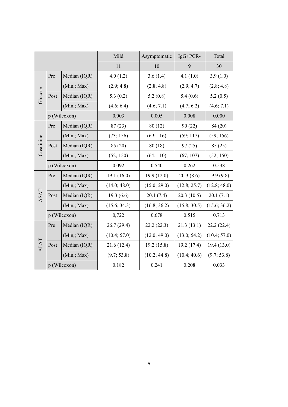|            |      |              | Mild         | Asymptomatic | $IgG+PCR-$   | Total        |
|------------|------|--------------|--------------|--------------|--------------|--------------|
|            |      |              | 11           | 10           | 9            | 30           |
|            | Pre  | Median (IQR) | 4.0(1.2)     | 3.6(1.4)     | 4.1(1.0)     | 3.9(1.0)     |
|            |      | (Min, Max)   | (2.9; 4.8)   | (2.8; 4.8)   | (2.9; 4.7)   | (2.8; 4.8)   |
| Glucose    | Post | Median (IQR) | 5.3(0.2)     | 5.2(0.8)     | 5.4(0.6)     | 5.2(0.5)     |
|            |      | (Min, Max)   | (4.6; 6.4)   | (4.6; 7.1)   | (4.7; 6.2)   | (4.6; 7.1)   |
|            |      | p (Wilcoxon) | 0,003        | 0.005        | 0.008        | 0.000        |
|            | Pre  | Median (IQR) | 87(23)       | 80(12)       | 90(22)       | 84 (20)      |
|            |      | (Min, Max)   | (73; 156)    | (69; 116)    | (59; 117)    | (59; 156)    |
| Creatinine | Post | Median (IQR) | 85 (20)      | 80(18)       | 97(25)       | 85 (25)      |
|            |      | (Min,; Max)  | (52; 150)    | (64; 110)    | (67; 107)    | (52; 150)    |
|            |      | p (Wilcoxon) | 0,092        | 0.540        | 0.262        | 0.538        |
|            | Pre  | Median (IQR) | 19.1(16.0)   | 19.9(12.0)   | 20.3(8.6)    | 19.9(9.8)    |
|            |      | (Min, Max)   | (14.0; 48.0) | (15.0; 29.0) | (12.8; 25.7) | (12.8; 48.0) |
| ASAT       | Post | Median (IQR) | 19.3(6.6)    | 20.1(7.4)    | 20.3(10.5)   | 20.1(7.1)    |
|            |      | (Min, Max)   | (15.6; 34.3) | (16.8; 36.2) | (15.8; 30.5) | (15.6; 36.2) |
|            |      | p (Wilcoxon) | 0,722        | 0.678        | 0.515        | 0.713        |
|            | Pre  | Median (IQR) | 26.7(29.4)   | 22.2(22.3)   | 21.3(13.1)   | 22.2(22.4)   |
|            |      | (Min, Max)   | (10.4; 57.0) | (12.0; 49.0) | (13.0; 54.2) | (10.4; 57.0) |
| ALAT       | Post | Median (IQR) | 21.6(12.4)   | 19.2(15.8)   | 19.2(17.4)   | 19.4(13.0)   |
|            |      | (Min,; Max)  | (9.7; 53.8)  | (10.2; 44.8) | (10.4; 40.6) | (9.7; 53.8)  |
|            |      | p (Wilcoxon) | 0.182        | 0.241        | 0.208        | 0.033        |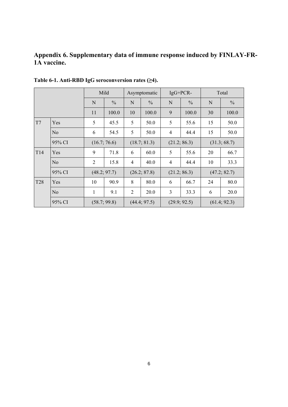# **Appendix 6. Supplementary data of immune response induced by FINLAY-FR-1A vaccine.**

|                 |                | Mild           |               | Asymptomatic |               | $IgG+PCR-$     |               | Total        |               |
|-----------------|----------------|----------------|---------------|--------------|---------------|----------------|---------------|--------------|---------------|
|                 |                |                | $\frac{0}{0}$ | N            | $\frac{0}{0}$ | N              | $\frac{0}{0}$ | N            | $\frac{0}{0}$ |
|                 |                | 11             | 100.0         | 10           | 100.0         | 9              | 100.0         | 30           | 100.0         |
| T7              | Yes            | 5              | 45.5          | 5            | 50.0          | 5              | 55.6          | 15           | 50.0          |
|                 | $\rm No$       | 6              | 54.5          | 5            | 50.0          | $\overline{4}$ | 44.4          | 15           | 50.0          |
|                 | 95% CI         | (16.7; 76.6)   |               | (18.7; 81.3) |               | (21.2; 86.3)   |               | (31.3; 68.7) |               |
| T <sub>14</sub> | Yes            | 9              | 71.8          | 6            | 60.0          | 5              | 55.6          | 20           | 66.7          |
|                 | N <sub>0</sub> | $\overline{2}$ | 15.8          | 4            | 40.0          | 4              | 44.4          | 10           | 33.3          |
|                 | 95% CI         |                | (48.2; 97.7)  | (26.2; 87.8) |               | (21.2; 86.3)   |               | (47.2; 82.7) |               |
| <b>T28</b>      | Yes            | 10             | 90.9          | 8            | 80.0          | 6              | 66.7          | 24           | 80.0          |
|                 | N <sub>o</sub> | $\mathbf{1}$   | 9.1           | 2            | 20.0          | 3              | 33.3          | 6            | 20.0          |
|                 | 95% CI         |                | (58.7; 99.8)  |              | (44.4; 97.5)  |                | (29.9; 92.5)  |              | (61.4; 92.3)  |

**Table 6-1. Anti-RBD IgG seroconversion rates (≥4).**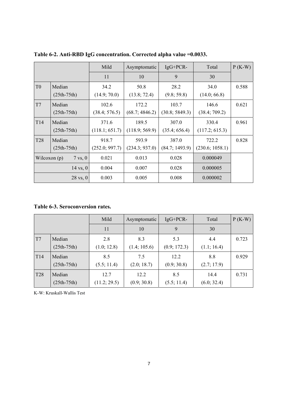|                 |                                      | Mild           | Asymptomatic   | $IgG+PCR-$     | Total           | $P(K-W)$ |
|-----------------|--------------------------------------|----------------|----------------|----------------|-----------------|----------|
|                 |                                      | 11             | 10             | 9              | 30              |          |
| T <sub>0</sub>  | Median                               | 34.2           | 50.8           | 28.2           | 34.0            | 0.588    |
|                 | $(25th-75th)$                        | (14.9; 70.0)   | (13.8; 72.4)   | (9.8; 59.8)    | (14.0; 66.8)    |          |
| T7              | Median                               | 102.6          | 172.2          | 103.7          | 146.6           | 0.621    |
|                 | $(25th-75th)$                        | (38.4; 576.5)  | (68.7; 4846.2) | (30.8; 5849.3) | (38.4; 709.2)   |          |
| T <sub>14</sub> | Median                               | 371.6          | 189.5          | 307.0          | 330.4           | 0.961    |
|                 | $(25th-75th)$                        | (118.1; 651.7) | (118.9; 569.9) | (35.4; 656.4)  | (117.2; 615.3)  |          |
| T <sub>28</sub> | Median                               | 918.7          | 593.9          | 387.0          | 722.2           | 0.828    |
|                 | $(25th-75th)$                        | (252.0; 997.7) | (234.3; 937.0) | (84.7; 1493.9) | (230.6; 1058.1) |          |
|                 | Wilcoxon $(p)$<br>$7 \text{ vs. } 0$ | 0.021          | 0.013          | 0.028          | 0.000049        |          |
|                 | $14$ vs, $0$                         | 0.004          | 0.007          | 0.028          | 0.000005        |          |
|                 | $28 \text{ vs. } 0$                  | 0.003          | 0.005          | 0.008          | 0.000002        |          |

**Table 6-2. Anti-RBD IgG concentration. Corrected alpha value =0.0033.** 

**Table 6-3. Seroconversion rates.** 

|            |               | Mild         | Asymptomatic | $IgG+PCR-$   | Total       | $P(K-W)$ |
|------------|---------------|--------------|--------------|--------------|-------------|----------|
|            |               | 11           | 10           | 9            | 30          |          |
| T7         | Median        | 2.8          | 8.3          | 5.3          | 4.4         | 0.723    |
|            | $(25th-75th)$ | (1.0; 12.8)  | (1.4; 105.6) | (0.9; 172.3) | (1.1; 16.4) |          |
| T14        | Median        | 8.5          | 7.5          | 12.2         | 8.8         | 0.929    |
|            | $(25th-75th)$ | (5.5; 11.4)  | (2.0; 18.7)  | (0.9; 30.8)  | (2.7; 17.9) |          |
| <b>T28</b> | Median        | 12.7         | 12.2         | 8.5          | 14.4        | 0.731    |
|            | $(25th-75th)$ | (11.2; 29.5) | (0.9; 30.8)  | (5.5; 11.4)  | (6.0; 32.4) |          |

K-W: Kruskall-Wallis Test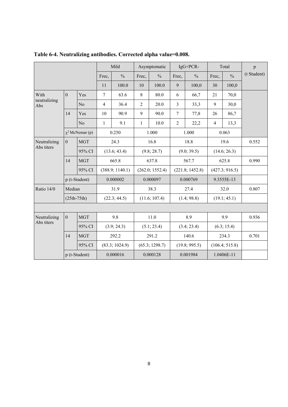|                            |                |                      | Mild           |                 | Asymptomatic   |                 | IgG+PCR-       |                 | Total          |                | p           |
|----------------------------|----------------|----------------------|----------------|-----------------|----------------|-----------------|----------------|-----------------|----------------|----------------|-------------|
|                            |                |                      | Frec,          | $\frac{0}{0}$   | Frec,          | $\frac{0}{0}$   | Frec,          | $\frac{0}{0}$   | Frec,          | $\frac{0}{0}$  | (t Student) |
|                            |                |                      | 11             | 100.0           | 10             | 100.0           | 9              | 100,0           | 30             | 100,0          |             |
| With                       | $\overline{0}$ | <b>Yes</b>           | $\overline{7}$ | 63.6            | 8              | 80.0            | 6              | 66,7            | 21             | 70,0           |             |
| neutralizing<br>Abs        |                | N <sub>o</sub>       | $\overline{4}$ | 36.4            | $\overline{2}$ | 20.0            | $\overline{3}$ | 33,3            | 9              | 30,0           |             |
|                            | 14             | Yes                  | 10             | 90.9            | 9              | 90.0            | 7              | 77,8            | 26             | 86,7           |             |
|                            |                | N <sub>o</sub>       | 1              | 9.1             | $\mathbf{1}$   | 10.0            | $\overline{2}$ | 22,2            | $\overline{4}$ | 13,3           |             |
|                            |                | $\chi^2$ McNemar (p) |                | 0.250           |                | 1.000           |                | 1.000           |                | 0.063          |             |
| Neutralizing<br>Abs titers | $\overline{0}$ | <b>MGT</b>           |                | 24.3            |                | 16.8            |                | 18.8            |                | 19.6           | 0.552       |
|                            |                | 95% CI               |                | (13.6; 43.4)    |                | (9.8; 28.7)     |                | (9.0; 39.5)     |                | (14.6; 26.3)   |             |
|                            | 14             | <b>MGT</b>           |                | 665.8           |                | 637.8           |                | 567.7           |                | 625.8          | 0.990       |
|                            |                | 95% CI               |                | (388.9; 1140.1) |                | (262.0; 1552.4) |                | (221.8; 1452.8) |                | (427.3; 916.5) |             |
|                            | p (t-Student)  |                      |                | 0.000002        |                | 0.000097        |                | 0.000769        |                | 9.3555E-13     |             |
| Ratio 14/0                 | Median         |                      |                | 31.9            |                | 38.3            |                | 27.4            |                | 32.0           | 0.807       |
|                            | $(25th-75th)$  |                      |                | (22.3; 44.5)    |                | (11.6; 107.4)   |                | (1.4; 98.8)     |                | (19.1; 45.1)   |             |
|                            |                |                      |                |                 |                |                 |                |                 |                |                |             |
| Neutralizing               | $\mathbf{0}$   | <b>MGT</b>           |                | 9.8             |                | 11.0            |                | 8.9             |                | 9.9            | 0.936       |
| Abs titers                 |                | 95% CI               |                | (3.9; 24.3)     |                | (5.1; 23.4)     |                | (3.4; 23.4)     |                | (6.3; 15.4)    |             |
|                            | 14             | <b>MGT</b>           |                | 292.2           |                | 291.2           |                | 140.6           |                | 234.3          | 0.701       |
|                            |                | 95% CI               |                | (83.3; 1024.9)  |                | (65.3; 1298.7)  |                | (19.8; 995.5)   |                | (106.4; 515.8) |             |
|                            |                | p (t-Student)        |                | 0.000016        |                | 0.000128        |                | 0.001984        |                | 1.0406E-11     |             |

**Table 6-4. Neutralizing antibodies. Corrected alpha value=0.008.**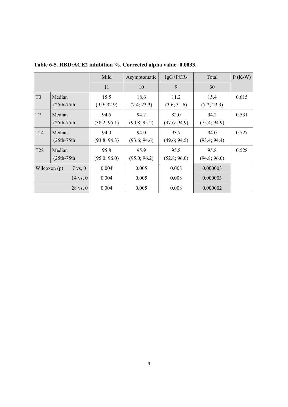|                 |                                    | Mild         | Asymptomatic | $IgG+PCR-$   | Total        | $P$ (K-W) |
|-----------------|------------------------------------|--------------|--------------|--------------|--------------|-----------|
|                 |                                    | 11           | 10           | 9            | 30           |           |
| T <sub>0</sub>  | Median                             | 15.5         | 18.6         | 11.2         | 15.4         | 0.615     |
|                 | $(25th-75th$                       | (9.9; 32.9)  | (7.4; 23.3)  | (3.6; 31.6)  | (7.2; 23.3)  |           |
| T7              | Median                             | 94.5         | 94.2         | 82.0         | 94.2         | 0.531     |
|                 | $(25th-75th$                       | (38.2; 95.1) | (90.8; 95.2) | (37.6; 94.9) | (75.4; 94.9) |           |
| T <sub>14</sub> | Median                             | 94.0         | 94.0         | 93.7         | 94.0         | 0.727     |
|                 | $(25th-75th$                       | (93.8; 94.3) | (93.6; 94.6) | (49.6; 94.5) | (93.4; 94.4) |           |
| T <sub>28</sub> | Median                             | 95.8         | 95.9         | 95.8         | 95.8         | 0.528     |
|                 | $(25th-75th$                       | (95.0; 96.0) | (95.0; 96.2) | (52.8; 96.0) | (94.8; 96.0) |           |
|                 | Wilcoxon (p)<br>$7 \text{ vs. } 0$ | 0.004        | 0.005        | 0.008        | 0.000003     |           |
|                 | $14$ vs, $0$                       | 0.004        | 0.005        | 0.008        | 0.000003     |           |
|                 | $28 \text{ vs. } 0$                | 0.004        | 0.005        | 0.008        | 0.000002     |           |

**Table 6-5. RBD:ACE2 inhibition %. Corrected alpha value=0.0033.**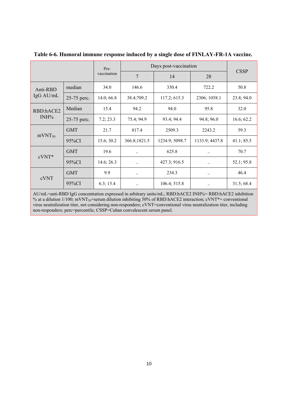|                    |             | Pre-        | Days post-vaccination | <b>CSSP</b>    |                |            |
|--------------------|-------------|-------------|-----------------------|----------------|----------------|------------|
|                    |             | vaccination | 7                     | 14             | 28             |            |
| Anti-RBD           | median      | 34.0        | 146.6                 | 330.4          | 722.2          | 50.8       |
| IgG AU/mL          | 25-75 perc. | 14.0; 66.8  | 38.4;709.2            | 117.2; 615.3   | 2306; 1058.1   | 23.8; 94.0 |
| RBD:hACE2          | Median      | 15.4        | 94.2                  | 94.0           | 95.8           | 32.0       |
| $INH\%$            | 25-75 perc. | 7.2; 23.3   | 75.4; 94.9            | 93.4; 94.4     | 94.8; 96.0     | 16.6; 62.2 |
| mVNT <sub>50</sub> | <b>GMT</b>  | 21.7        | 817.4                 | 2509.3         | 2243.2         | 59.3       |
|                    | $95\%CI$    | 15.6; 30.2  | 366.8;1821.5          | 1234.9; 5098.7 | 1133.9; 4437.8 | 41.1; 85.5 |
| $cVNT*$            | <b>GMT</b>  | 19.6        | $\ddotsc$             | 625.8          | $\ddotsc$      | 70.7       |
|                    | 95%CI       | 14.6; 26.3  | $\ddotsc$             | 427.3; 916.5   | $\ddotsc$      | 52.1; 95.8 |
| cVNT               | <b>GMT</b>  | 9.9         | $\cdot$ .             | 234.3          | $\cdot$ .      | 46.4       |
|                    | 95%CI       | 6.3; 15.4   | $\ddotsc$             | 106.4; 515.8   | $\pmb{\cdots}$ | 31.5; 68.4 |

**Table 6-6. Humoral immune response induced by a single dose of FINLAY-FR-1A vaccine.** 

AU/mL=anti-RBD IgG concentration expressed in arbitrary units/mL; RBD:hACE2 INH%= RBD:hACE2 inhibition % at a dilution 1/100; mVNT<sub>50</sub>=serum dilution inhibiting 50% of RBD:hACE2 interaction; cVNT\*= conventional virus neutralization titer, not considering non-responders; cVNT=conventional virus neutralization titer, including non-responders; perc=percentile; CSSP=Cuban convalescent serum panel.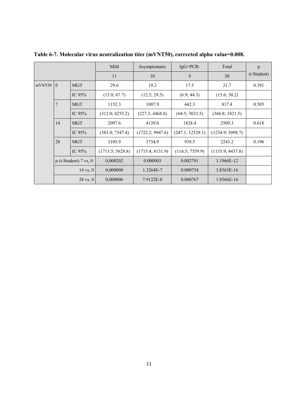|        |                |                         | Mild             | Asymptomatic     | $IgG+PCR-$       | Total            | p           |
|--------|----------------|-------------------------|------------------|------------------|------------------|------------------|-------------|
|        |                |                         | 11               | 10               | 9                | 30               | (t Student) |
| mVNT50 | $\theta$       | <b>MGT</b>              | 29.6             | 19.2             | 17.5             | 21.7             | 0.391       |
|        |                | IC 95%                  | (13.0; 67.7)     | (12.5; 29.5)     | (6.9; 44.3)      | (15.6; 30.2)     |             |
|        | $\overline{7}$ | <b>MGT</b>              | 1152.3           | 1007.9           | 442.3            | 817.4            | 0.585       |
|        |                | IC $95\%$               | (312.0; 4255.2)  | (227.3; 4468.8)  | (64.5; 3033.5)   | (366.8; 1821.5)  |             |
|        | 14             | <b>MGT</b>              | 2097.6           | 4139.0           | 1828.4           | 2509.3           | 0.618       |
|        |                | IC $95%$                | (583.0; 7547.4)  | (1722.2; 9947.6) | (247.1; 12529.1) | (1234.9; 5098.7) |             |
|        | 28             | <b>MGT</b>              | 3105.9           | 3734.9           | 938.5            | 2243.2           | 0.196       |
|        |                | IC 95%                  | (1713.5; 5629.8) | (1715.4; 8131.9) | (116.5; 7559.9)  | (1133.9; 4437.8) |             |
|        |                | $p$ (t-Student) 7 vs, 0 | 0,000202         | 0.000003         | 0.002791         | 1.1966E-12       |             |
|        |                | $14 \text{ vs. } 0$     | 0,000008         | 1.3264E-7        | 0.000754         | 3.8363E-16       |             |
|        |                | $28 \text{ vs. } 0$     | 0,000006         | 7.9122E-8        | 0.000767         | 1.8566E-16       |             |

**Table 6-7. Molecular virus neutralization titer (mVNT50), corrected alpha value=0.008.**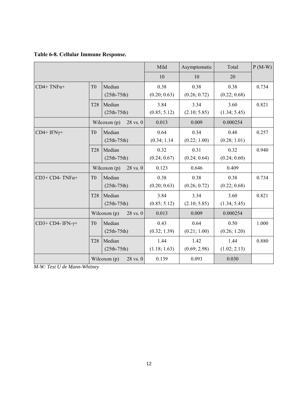|  |  |  | Table 6-8. Cellular Immune Response. |
|--|--|--|--------------------------------------|
|--|--|--|--------------------------------------|

|                       |                 |                                | Mild                 | Asymptomatic         | Total                | $P(M-W)$ |
|-----------------------|-----------------|--------------------------------|----------------------|----------------------|----------------------|----------|
|                       |                 |                                | 10                   | 10                   | 20                   |          |
| $CD4+TNF\alpha+$      | T <sub>0</sub>  | Median<br>$(25th-75th)$        | 0.38<br>(0.20; 0.63) | 0.38<br>(0.26; 0.72) | 0.38<br>(0.22; 0.68) | 0.734    |
|                       | <b>T28</b>      | Median<br>$(25th-75th)$        | 3.84<br>(0.85; 5.12) | 3.34<br>(2.10; 5.85) | 3.60<br>(1.34; 5.45) | 0.821    |
|                       |                 | Wilcoxon $(p)$<br>$28$ vs. $0$ | 0.013                | 0.009                | 0.000254             |          |
| $CD4+IFN\gamma+$      | T <sub>0</sub>  | Median<br>$(25th-75th)$        | 0.64<br>(0.34; 1.14) | 0.34<br>(0.22; 1.00) | 0.48<br>(0.28; 1.01) | 0.257    |
|                       | T <sub>28</sub> | Median<br>$(25th-75th)$        | 0.32<br>(0.24; 0.67) | 0.31<br>(0.24; 0.64) | 0.32<br>(0.24; 0.60) | 0.940    |
|                       |                 | Wilcoxon (p)<br>28 vs. 0       | 0.123                | 0.646                | 0.409                |          |
| $CD3+CD4-TNF\alpha+$  | T <sub>0</sub>  | Median<br>$(25th-75th)$        | 0.38<br>(0.20; 0.63) | 0.38<br>(0.26; 0.72) | 0.38<br>(0.22; 0.68) | 0.734    |
|                       | <b>T28</b>      | Median<br>$(25th-75th)$        | 3.84<br>(0.85; 5.12) | 3.34<br>(2.10; 5.85) | 3.60<br>(1.34; 5.45) | 0.821    |
|                       |                 | Wilcoxon $(p)$<br>28 vs. 0     | 0.013                | 0.009                | 0.000254             |          |
| $CD3+CD4-IFN-\gamma+$ | T <sub>0</sub>  | Median<br>$(25th-75th)$        | 0.43<br>(0.32; 1.39) | 0.64<br>(0.21; 1.00) | 0.50<br>(0.26; 1.20) | 1.000    |
|                       | <b>T28</b>      | Median<br>$(25th-75th)$        | 1.44<br>(1.18; 1.63) | 1.42<br>(0.69; 2.98) | 1.44<br>(1.02; 2.13) | 0.880    |
|                       |                 | Wilcoxon $(p)$<br>28 vs. 0     | 0.139                | 0.093                | 0.030                |          |

*M-W: Test U de Mann-Whitney*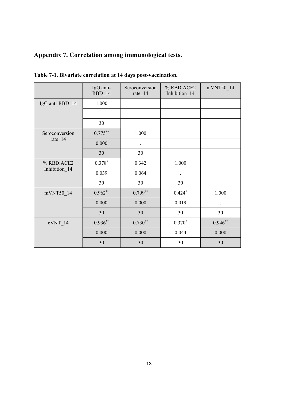# **Appendix 7. Correlation among immunological tests.**

|                             | IgG anti-<br>RBD_14 | Seroconversion<br>rate_14 | % RBD:ACE2<br>Inhibition_14 | mVNT50_14            |
|-----------------------------|---------------------|---------------------------|-----------------------------|----------------------|
| IgG anti-RBD_14             | 1.000               |                           |                             |                      |
|                             |                     |                           |                             |                      |
|                             | 30                  |                           |                             |                      |
| Seroconversion<br>rate_14   | $0.775***$          | 1.000                     |                             |                      |
|                             | 0.000               | $\ddot{\phantom{1}}$      |                             |                      |
|                             | 30                  | 30                        |                             |                      |
| % RBD:ACE2<br>Inhibition_14 | $0.378*$            | 0.342                     | 1.000                       |                      |
|                             | 0.039               | 0.064                     |                             |                      |
|                             | 30                  | 30                        | 30                          |                      |
| mVNT50_14                   | $0.962**$           | $0.799**$                 | $0.424*$                    | 1.000                |
|                             | 0.000               | 0.000                     | 0.019                       | $\ddot{\phantom{0}}$ |
|                             | 30                  | 30                        | 30                          | 30                   |
| cVNT_14                     | $0.936**$           | $0.730**$                 | $0.370*$                    | $0.946**$            |
|                             | 0.000               | 0.000                     | 0.044                       | 0.000                |
|                             | 30                  | 30                        | 30                          | 30                   |

**Table 7-1. Bivariate correlation at 14 days post-vaccination.**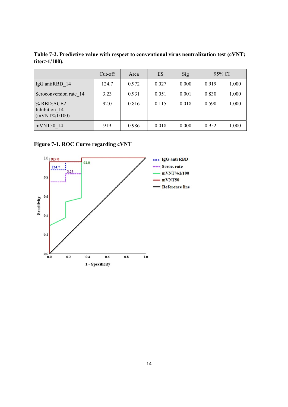**Table 7-2. Predictive value with respect to conventional virus neutralization test (cVNT; titer>1/100).** 

|                                                | $Cut-off$ | Area  | ES    | Sig   | 95% CI |       |
|------------------------------------------------|-----------|-------|-------|-------|--------|-------|
| IgG antiRBD 14                                 | 124.7     | 0.972 | 0.027 | 0.000 | 0.919  | 1.000 |
| Seroconversion rate 14                         | 3.23      | 0.931 | 0.051 | 0.001 | 0.830  | 1.000 |
| % RBD:ACE2<br>Inhibition 14<br>$(mVNT\%1/100)$ | 92.0      | 0.816 | 0.115 | 0.018 | 0.590  | 1.000 |
| mVNT50 14                                      | 919       | 0.986 | 0.018 | 0.000 | 0.952  | 1.000 |

**Figure 7-1. ROC Curve regarding cVNT**

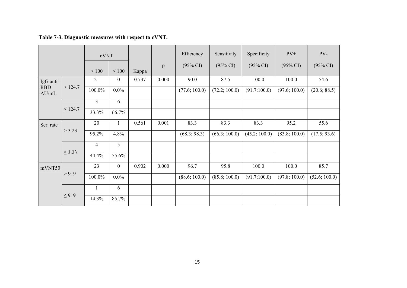|                                            |                |                  |       |       | Efficiency          | Sensitivity         | Specificity         | $PV+$               | PV-                 |
|--------------------------------------------|----------------|------------------|-------|-------|---------------------|---------------------|---------------------|---------------------|---------------------|
|                                            | >100           | $\leq 100$       | Kappa | p     | $(95\% \text{ CI})$ | $(95\% \text{ CI})$ | $(95\% \text{ CI})$ | $(95\% \text{ CI})$ | $(95\% \text{ CI})$ |
| IgG anti-<br><b>RBD</b><br>>124.7<br>AU/mL | 21             | $\boldsymbol{0}$ | 0.737 | 0.000 | 90.0                | 87.5                | 100.0               | 100.0               | 54.6                |
|                                            | 100.0%         | $0.0\%$          |       |       | (77.6; 100.0)       | (72.2; 100.0)       | (91.7;100.0)        | (97.6; 100.0)       | (20.6; 88.5)        |
| $\leq$ 124.7                               | $\overline{3}$ | 6                |       |       |                     |                     |                     |                     |                     |
|                                            | 33.3%          | 66.7%            |       |       |                     |                     |                     |                     |                     |
| Ser. rate<br>> 3.23                        | 20             | 1                | 0.561 | 0.001 | 83.3                | 83.3                | 83.3                | 95.2                | 55.6                |
|                                            | 95.2%          | 4.8%             |       |       | (68.3; 98.3)        | (66.3; 100.0)       | (45.2; 100.0)       | (83.8; 100.0)       | (17.5; 93.6)        |
| $\leq$ 3.23                                | 4              | 5                |       |       |                     |                     |                     |                     |                     |
|                                            | 44.4%          | 55.6%            |       |       |                     |                     |                     |                     |                     |
| mVNT50<br>> 919                            | 23             | $\overline{0}$   | 0.902 | 0.000 | 96.7                | 95.8                | 100.0               | 100.0               | 85.7                |
|                                            | 100.0%         | $0.0\%$          |       |       | (88.6; 100.0)       | (85.8; 100.0)       | (91.7;100.0)        | (97.8; 100.0)       | (52.6; 100.0)       |
|                                            | 1              | 6                |       |       |                     |                     |                     |                     |                     |
|                                            | 14.3%          | 85.7%            |       |       |                     |                     |                     |                     |                     |
|                                            | $\leq$ 919     |                  | cVNT  |       |                     |                     |                     |                     |                     |

**Table 7-3. Diagnostic measures with respect to cVNT.**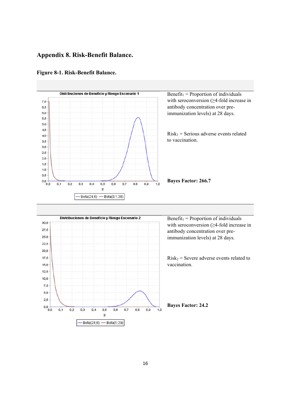### **Appendix 8. Risk-Benefit Balance.**



#### **Figure 8-1. Risk-Benefit Balance.**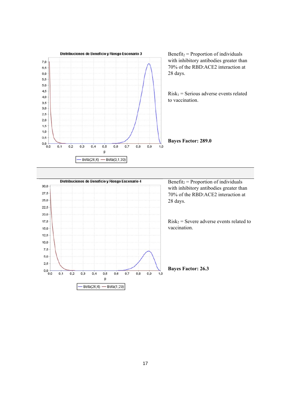